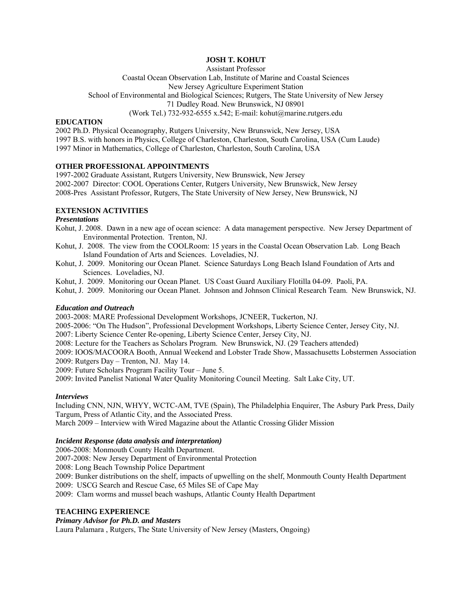# **JOSH T. KOHUT**

Assistant Professor

Coastal Ocean Observation Lab, Institute of Marine and Coastal Sciences

New Jersey Agriculture Experiment Station

School of Environmental and Biological Sciences; Rutgers, The State University of New Jersey

71 Dudley Road. New Brunswick, NJ 08901

(Work Tel.) 732-932-6555 x.542; E-mail: kohut@marine.rutgers.edu

## **EDUCATION**

2002 Ph.D. Physical Oceanography, Rutgers University, New Brunswick, New Jersey, USA 1997 B.S. with honors in Physics, College of Charleston, Charleston, South Carolina, USA (Cum Laude) 1997 Minor in Mathematics, College of Charleston, Charleston, South Carolina, USA

## **OTHER PROFESSIONAL APPOINTMENTS**

1997-2002 Graduate Assistant, Rutgers University, New Brunswick, New Jersey 2002-2007 Director: COOL Operations Center, Rutgers University, New Brunswick, New Jersey 2008-Pres Assistant Professor, Rutgers, The State University of New Jersey, New Brunswick, NJ

# **EXTENSION ACTIVITIES**

## *Presentations*

- Kohut, J. 2008. Dawn in a new age of ocean science: A data management perspective. New Jersey Department of Environmental Protection. Trenton, NJ.
- Kohut, J. 2008. The view from the COOLRoom: 15 years in the Coastal Ocean Observation Lab. Long Beach Island Foundation of Arts and Sciences. Loveladies, NJ.
- Kohut, J. 2009. Monitoring our Ocean Planet. Science Saturdays Long Beach Island Foundation of Arts and Sciences. Loveladies, NJ.

Kohut, J. 2009. Monitoring our Ocean Planet. US Coast Guard Auxiliary Flotilla 04-09. Paoli, PA.

Kohut, J. 2009. Monitoring our Ocean Planet. Johnson and Johnson Clinical Research Team. New Brunswick, NJ.

## *Education and Outreach*

2003-2008: MARE Professional Development Workshops, JCNEER, Tuckerton, NJ.

2005-2006: "On The Hudson", Professional Development Workshops, Liberty Science Center, Jersey City, NJ.

2007: Liberty Science Center Re-opening, Liberty Science Center, Jersey City, NJ.

2008: Lecture for the Teachers as Scholars Program. New Brunswick, NJ. (29 Teachers attended)

2009: IOOS/MACOORA Booth, Annual Weekend and Lobster Trade Show, Massachusetts Lobstermen Association

2009: Rutgers Day – Trenton, NJ. May 14.

2009: Future Scholars Program Facility Tour – June 5.

2009: Invited Panelist National Water Quality Monitoring Council Meeting. Salt Lake City, UT.

## *Interviews*

Including CNN, NJN, WHYY, WCTC-AM, TVE (Spain), The Philadelphia Enquirer, The Asbury Park Press, Daily Targum, Press of Atlantic City, and the Associated Press.

March 2009 – Interview with Wired Magazine about the Atlantic Crossing Glider Mission

## *Incident Response (data analysis and interpretation)*

2006-2008: Monmouth County Health Department.

2007-2008: New Jersey Department of Environmental Protection

2008: Long Beach Township Police Department

2009: Bunker distributions on the shelf, impacts of upwelling on the shelf, Monmouth County Health Department

2009: USCG Search and Rescue Case, 65 Miles SE of Cape May

2009: Clam worms and mussel beach washups, Atlantic County Health Department

## **TEACHING EXPERIENCE**

# *Primary Advisor for Ph.D. and Masters*

Laura Palamara , Rutgers, The State University of New Jersey (Masters, Ongoing)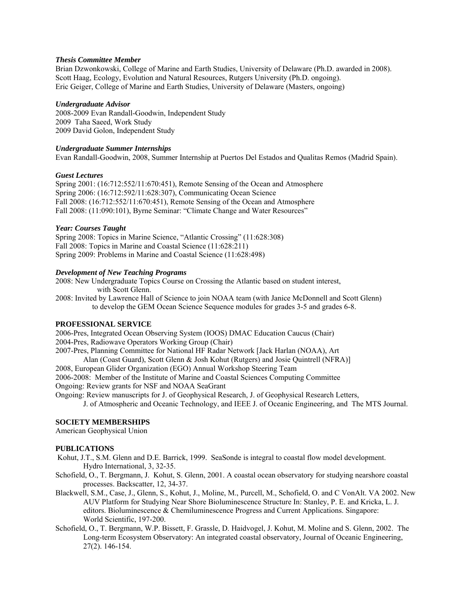#### *Thesis Committee Member*

Brian Dzwonkowski, College of Marine and Earth Studies, University of Delaware (Ph.D. awarded in 2008). Scott Haag, Ecology, Evolution and Natural Resources, Rutgers University (Ph.D. ongoing). Eric Geiger, College of Marine and Earth Studies, University of Delaware (Masters, ongoing)

### *Undergraduate Advisor*

2008-2009 Evan Randall-Goodwin, Independent Study 2009 Taha Saeed, Work Study 2009 David Golon, Independent Study

### *Undergraduate Summer Internships*

Evan Randall-Goodwin, 2008, Summer Internship at Puertos Del Estados and Qualitas Remos (Madrid Spain).

### *Guest Lectures*

Spring 2001: (16:712:552/11:670:451), Remote Sensing of the Ocean and Atmosphere Spring 2006: (16:712:592/11:628:307), Communicating Ocean Science Fall 2008: (16:712:552/11:670:451), Remote Sensing of the Ocean and Atmosphere Fall 2008: (11:090:101), Byrne Seminar: "Climate Change and Water Resources"

### *Year: Courses Taught*

Spring 2008: Topics in Marine Science, "Atlantic Crossing" (11:628:308) Fall 2008: Topics in Marine and Coastal Science (11:628:211) Spring 2009: Problems in Marine and Coastal Science (11:628:498)

### *Development of New Teaching Programs*

2008: New Undergraduate Topics Course on Crossing the Atlantic based on student interest, with Scott Glenn.

2008: Invited by Lawrence Hall of Science to join NOAA team (with Janice McDonnell and Scott Glenn) to develop the GEM Ocean Science Sequence modules for grades 3-5 and grades 6-8.

#### **PROFESSIONAL SERVICE**

2006-Pres, Integrated Ocean Observing System (IOOS) DMAC Education Caucus (Chair) 2004-Pres, Radiowave Operators Working Group (Chair)

2007-Pres, Planning Committee for National HF Radar Network [Jack Harlan (NOAA), Art

Alan (Coast Guard), Scott Glenn & Josh Kohut (Rutgers) and Josie Quintrell (NFRA)]

2008, European Glider Organization (EGO) Annual Workshop Steering Team

2006-2008: Member of the Institute of Marine and Coastal Sciences Computing Committee

Ongoing: Review grants for NSF and NOAA SeaGrant

Ongoing: Review manuscripts for J. of Geophysical Research, J. of Geophysical Research Letters,

J. of Atmospheric and Oceanic Technology, and IEEE J. of Oceanic Engineering, and The MTS Journal.

# **SOCIETY MEMBERSHIPS**

American Geophysical Union

## **PUBLICATIONS**

- Kohut, J.T., S.M. Glenn and D.E. Barrick, 1999. SeaSonde is integral to coastal flow model development. Hydro International, 3, 32-35.
- Schofield, O., T. Bergmann, J. Kohut, S. Glenn, 2001. A coastal ocean observatory for studying nearshore coastal processes. Backscatter, 12, 34-37.
- Blackwell, S.M., Case, J., Glenn, S., Kohut, J., Moline, M., Purcell, M., Schofield, O. and C VonAlt. VA 2002. New AUV Platform for Studying Near Shore Bioluminescence Structure In: Stanley, P. E. and Kricka, L. J. editors. Bioluminescence & Chemiluminescence Progress and Current Applications. Singapore: World Scientific, 197-200.
- Schofield, O., T. Bergmann, W.P. Bissett, F. Grassle, D. Haidvogel, J. Kohut, M. Moline and S. Glenn, 2002. The Long-term Ecosystem Observatory: An integrated coastal observatory, Journal of Oceanic Engineering, 27(2). 146-154.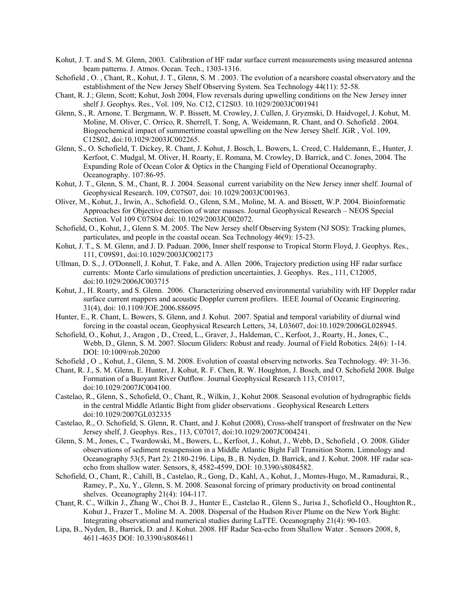- Kohut, J. T. and S. M. Glenn, 2003. Calibration of HF radar surface current measurements using measured antenna beam patterns. J. Atmos. Ocean. Tech., 1303-1316.
- Schofield , O., Chant, R., Kohut, J. T., Glenn, S. M. 2003. The evolution of a nearshore coastal observatory and the establishment of the New Jersey Shelf Observing System. Sea Technology 44(11): 52-58.
- Chant, R. J.; Glenn, Scott; Kohut, Josh 2004, Flow reversals during upwelling conditions on the New Jersey inner shelf J. Geophys. Res., Vol. 109, No. C12, C12S03. 10.1029/2003JC001941
- Glenn, S., R. Arnone, T. Bergmann, W. P. Bissett, M. Crowley, J. Cullen, J. Gryzmski, D. Haidvogel, J. Kohut, M. Moline, M. Oliver, C. Orrico, R. Sherrell, T. Song, A. Weidemann, R. Chant, and O. Schofield . 2004. Biogeochemical impact of summertime coastal upwelling on the New Jersey Shelf. JGR , Vol. 109, C12S02, doi:10.1029/2003JC002265.
- Glenn, S., O. Schofield, T. Dickey, R. Chant, J. Kohut, J. Bosch, L. Bowers, L. Creed, C. Haldemann, E., Hunter, J. Kerfoot, C. Mudgal, M. Oliver, H. Roarty, E. Romana, M. Crowley, D. Barrick, and C. Jones, 2004. The Expanding Role of Ocean Color & Optics in the Changing Field of Operational Oceanography. Oceanography. 107:86-95.
- Kohut, J. T., Glenn, S. M., Chant, R. J. 2004. Seasonal current variability on the New Jersey inner shelf. Journal of Geophysical Research. 109, C07S07, doi: 10.1029/2003JC001963.
- Oliver, M., Kohut, J., Irwin, A., Schofield. O., Glenn, S.M., Moline, M. A. and Bissett, W.P. 2004. Bioinformatic Approaches for Objective detection of water masses. Journal Geophysical Research – NEOS Special Section. Vol 109 C07S04 doi: 10.1029/2003JC002072.
- Schofield, O., Kohut, J., Glenn S. M. 2005. The New Jersey shelf Observing System (NJ SOS): Tracking plumes, particulates, and people in the coastal ocean. Sea Technology 46(9): 15-23.
- Kohut, J. T., S. M. Glenn, and J. D. Paduan. 2006, Inner shelf response to Tropical Storm Floyd, J. Geophys. Res., 111, C09S91, doi:10.1029/2003JC002173
- Ullman, D. S., J. O'Donnell, J. Kohut, T. Fake, and A. Allen 2006, Trajectory prediction using HF radar surface currents: Monte Carlo simulations of prediction uncertainties, J. Geophys. Res., 111, C12005, doi:10.1029/2006JC003715
- Kohut, J., H. Roarty, and S. Glenn. 2006. Characterizing observed environmental variability with HF Doppler radar surface current mappers and acoustic Doppler current profilers. IEEE Journal of Oceanic Engineering. 31(4), doi: 10.1109/JOE.2006.886095.
- Hunter, E., R. Chant, L. Bowers, S. Glenn, and J. Kohut. 2007. Spatial and temporal variability of diurnal wind forcing in the coastal ocean, Geophysical Research Letters, 34, L03607, doi:10.1029/2006GL028945.
- Schofield, O., Kohut, J., Aragon , D., Creed, L., Graver, J., Haldeman, C., Kerfoot, J., Roarty, H., Jones, C., Webb, D., Glenn, S. M. 2007. Slocum Gliders: Robust and ready. Journal of Field Robotics. 24(6): 1-14. DOI: 10:1009/rob.20200
- Schofield , O ., Kohut, J., Glenn, S. M. 2008. Evolution of coastal observing networks. Sea Technology. 49: 31-36.
- Chant, R. J., S. M. Glenn, E. Hunter, J. Kohut, R. F. Chen, R. W. Houghton, J. Bosch, and O. Schofield 2008. Bulge Formation of a Buoyant River Outflow. Journal Geophysical Research 113, C01017, doi:10.1029/2007JC004100.
- Castelao, R., Glenn, S., Schofield, O., Chant, R., Wilkin, J., Kohut 2008. Seasonal evolution of hydrographic fields in the central Middle Atlantic Bight from glider observations . Geophysical Research Letters doi:10.1029/2007GL032335
- Castelao, R., O. Schofield, S. Glenn, R. Chant, and J. Kohut (2008), Cross-shelf transport of freshwater on the New Jersey shelf, J. Geophys. Res., 113, C07017, doi:10.1029/2007JC004241.
- Glenn, S. M., Jones, C., Twardowski, M., Bowers, L., Kerfoot, J., Kohut, J., Webb, D., Schofield , O. 2008. Glider observations of sediment resuspension in a Middle Atlantic Bight Fall Transition Storm. Limnology and Oceanography 53(5, Part 2): 2180-2196. Lipa, B., B. Nyden, D. Barrick, and J. Kohut. 2008. HF radar seaecho from shallow water. Sensors, 8, 4582-4599, DOI: 10.3390/s8084582.
- Schofield, O., Chant, R., Cahill, B., Castelao, R., Gong, D., Kahl, A., Kohut, J., Montes-Hugo, M., Ramadurai, R., Ramey, P., Xu, Y., Glenn, S. M. 2008. Seasonal forcing of primary productivity on broad continental shelves. Oceanography 21(4): 104-117.
- Chant,R. C., Wilkin J., Zhang W., Choi B. J., Hunter E., Castelao R., Glenn S., Jurisa J., Schofield O., HoughtonR., Kohut J., Frazer T., Moline M. A. 2008. Dispersal of the Hudson River Plume on the New York Bight: Integrating observational and numerical studies during LaTTE. Oceanography 21(4): 90-103.
- Lipa, B., Nyden, B., Barrick, D. and J. Kohut. 2008. HF Radar Sea-echo from Shallow Water . Sensors 2008, 8, 4611-4635 DOI: 10.3390/s8084611